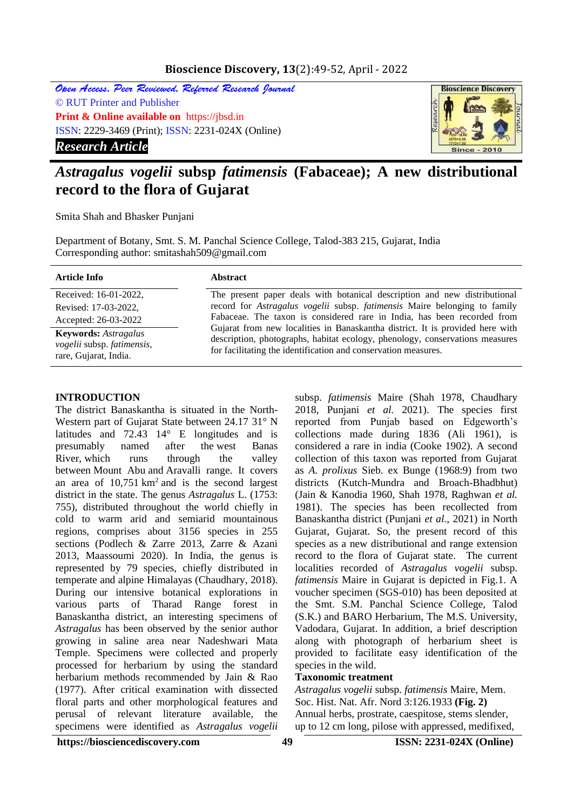## **Bioscience Discovery, 13**(2):49-52, April - 2022

Open Access, Peer Reviewed, Referred Research Journal © RUT Printer and Publisher **Print & Online available on** https://jbsd.in ISSN: 2229-3469 (Print); ISSN: 2231-024X (Online) *Research Article*



# *Astragalus vogelii* **subsp** *fatimensis* **(Fabaceae); A new distributional record to the flora of Gujarat**

Smita Shah and Bhasker Punjani

Department of Botany, Smt. S. M. Panchal Science College, Talod-383 215, Gujarat, India Corresponding author: smitashah509@gmail.com

| <b>Article Info</b>                                                                | <b>Abstract</b>                                                                                                                                                                                                                 |
|------------------------------------------------------------------------------------|---------------------------------------------------------------------------------------------------------------------------------------------------------------------------------------------------------------------------------|
| Received: 16-01-2022,                                                              | The present paper deals with botanical description and new distributional                                                                                                                                                       |
| Revised: 17-03-2022,                                                               | record for Astragalus vogelii subsp. fatimensis Maire belonging to family                                                                                                                                                       |
| Accepted: 26-03-2022                                                               | Fabaceae. The taxon is considered rare in India, has been recorded from                                                                                                                                                         |
| <b>Keywords:</b> Astragalus<br>vogelii subsp. fatimensis,<br>rare, Gujarat, India. | Gujarat from new localities in Banaskantha district. It is provided here with<br>description, photographs, habitat ecology, phenology, conservations measures<br>for facilitating the identification and conservation measures. |

#### **INTRODUCTION**

The district Banaskantha is situated in the North-Western part of Gujarat State between 24.17 31° N latitudes and 72.43 14° E longitudes and is presumably named after the [west Banas](http://en.wikipedia.org/wiki/West_Banas_River)  [River,](http://en.wikipedia.org/wiki/West_Banas_River) which runs through the valley between [Mount Abu](http://en.wikipedia.org/wiki/Mount_Abu) and Aravalli range. It covers an area of  $10,751 \text{ km}^2$  and is the second largest district in the state. The genus *Astragalus* L. (1753: 755), distributed throughout the world chiefly in cold to warm arid and semiarid mountainous regions, comprises about 3156 species in 255 sections (Podlech & Zarre 2013, Zarre & Azani 2013, Maassoumi 2020). In India, the genus is represented by 79 species, chiefly distributed in temperate and alpine Himalayas (Chaudhary, 2018). During our intensive botanical explorations in various parts of Tharad Range forest in Banaskantha district, an interesting specimens of *Astragalus* has been observed by the senior author growing in saline area near Nadeshwari Mata Temple. Specimens were collected and properly processed for herbarium by using the standard herbarium methods recommended by Jain & Rao (1977). After critical examination with dissected floral parts and other morphological features and perusal of relevant literature available, the specimens were identified as *Astragalus vogelii* 

subsp. *fatimensis* Maire (Shah 1978, Chaudhary 2018, Punjani *et al.* 2021). The species first reported from Punjab based on Edgeworth's collections made during 1836 (Ali 1961), is considered a rare in india (Cooke 1902). A second collection of this taxon was reported from Gujarat as *A. prolixus* Sieb. ex Bunge (1968:9) from two districts (Kutch-Mundra and Broach-Bhadbhut) (Jain & Kanodia 1960, Shah 1978, Raghwan *et al.* 1981). The species has been recollected from Banaskantha district (Punjani *et al.*, 2021) in North Gujarat, Gujarat. So, the present record of this species as a new distributional and range extension record to the flora of Gujarat state. The current localities recorded of *Astragalus vogelii* subsp. *fatimensis* Maire in Gujarat is depicted in Fig.1. A voucher specimen (SGS-010) has been deposited at the Smt. S.M. Panchal Science College, Talod (S.K.) and BARO Herbarium, The M.S. University, Vadodara, Gujarat. In addition, a brief description along with photograph of herbarium sheet is provided to facilitate easy identification of the species in the wild.

#### **Taxonomic treatment**

*Astragalus vogelii* subsp. *fatimensis* Maire, Mem. Soc. Hist. Nat. Afr. Nord 3:126.1933 **(Fig. 2)** Annual herbs, prostrate, caespitose, stems slender, up to 12 cm long, pilose with appressed, medifixed,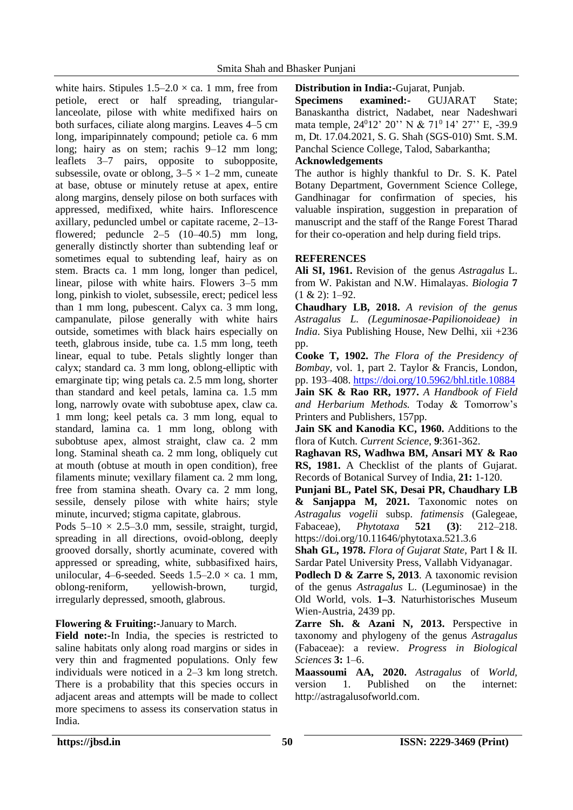white hairs. Stipules  $1.5-2.0 \times$  ca. 1 mm, free from petiole, erect or half spreading, triangularlanceolate, pilose with white medifixed hairs on both surfaces, ciliate along margins. Leaves 4–5 cm long, imparipinnately compound; petiole ca. 6 mm long; hairy as on stem; rachis 9–12 mm long; leaflets 3–7 pairs, opposite to subopposite, subsessile, ovate or oblong,  $3-5 \times 1-2$  mm, cuneate at base, obtuse or minutely retuse at apex, entire along margins, densely pilose on both surfaces with appressed, medifixed, white hairs. Inflorescence axillary, peduncled umbel or capitate raceme, 2–13 flowered; peduncle  $2-5$   $(10-40.5)$  mm long, generally distinctly shorter than subtending leaf or sometimes equal to subtending leaf, hairy as on stem. Bracts ca. 1 mm long, longer than pedicel, linear, pilose with white hairs. Flowers 3–5 mm long, pinkish to violet, subsessile, erect; pedicel less than 1 mm long, pubescent. Calyx ca. 3 mm long, campanulate, pilose generally with white hairs outside, sometimes with black hairs especially on teeth, glabrous inside, tube ca. 1.5 mm long, teeth linear, equal to tube. Petals slightly longer than calyx; standard ca. 3 mm long, oblong-elliptic with emarginate tip; wing petals ca. 2.5 mm long, shorter than standard and keel petals, lamina ca. 1.5 mm long, narrowly ovate with subobtuse apex, claw ca. 1 mm long; keel petals ca. 3 mm long, equal to standard, lamina ca. 1 mm long, oblong with subobtuse apex, almost straight, claw ca. 2 mm long. Staminal sheath ca. 2 mm long, obliquely cut at mouth (obtuse at mouth in open condition), free filaments minute; vexillary filament ca. 2 mm long, free from stamina sheath. Ovary ca. 2 mm long, sessile, densely pilose with white hairs; style minute, incurved; stigma capitate, glabrous.

Pods  $5-10 \times 2.5-3.0$  mm, sessile, straight, turgid, spreading in all directions, ovoid-oblong, deeply grooved dorsally, shortly acuminate, covered with appressed or spreading, white, subbasifixed hairs, unilocular, 4–6-seeded. Seeds  $1.5-2.0 \times$  ca. 1 mm, oblong-reniform, yellowish-brown, turgid, irregularly depressed, smooth, glabrous.

**Flowering & Fruiting:-**January to March.

**Field note:-**In India, the species is restricted to saline habitats only along road margins or sides in very thin and fragmented populations. Only few individuals were noticed in a 2–3 km long stretch. There is a probability that this species occurs in adjacent areas and attempts will be made to collect more specimens to assess its conservation status in India.

**Distribution in India:-**Gujarat, Punjab.

**Specimens examined:-** GUJARAT State; Banaskantha district, Nadabet, near Nadeshwari mata temple, 24<sup>0</sup>12' 20'' N & 71<sup>0</sup> 14' 27'' E, -39.9 m, Dt. 17.04.2021, S. G. Shah (SGS-010) Smt. S.M. Panchal Science College, Talod, Sabarkantha;

## **Acknowledgements**

The author is highly thankful to Dr. S. K. Patel Botany Department, Government Science College, Gandhinagar for confirmation of species, his valuable inspiration, suggestion in preparation of manuscript and the staff of the Range Forest Tharad for their co-operation and help during field trips.

# **REFERENCES**

**Ali SI, 1961.** Revision of the genus *Astragalus* L. from W. Pakistan and N.W. Himalayas. *Biologia* **7**  $(1 \& 2): 1-92.$ 

**Chaudhary LB, 2018.** *A revision of the genus Astragalus L. (Leguminosae-Papilionoideae) in India*. Siya Publishing House, New Delhi, xii +236 pp.

**Cooke T, 1902.** *The Flora of the Presidency of Bombay,* vol. 1, part 2. Taylor & Francis, London, pp. 193–408.<https://doi.org/10.5962/bhl.title.10884>

**Jain SK & Rao RR, 1977.** *A Handbook of Field and Herbarium Methods.* Today & Tomorrow's Printers and Publishers, 157pp.

**Jain SK and Kanodia KC, 1960.** Additions to the flora of Kutch*. Current Science*, **9**:361-362.

**Raghavan RS, Wadhwa BM, Ansari MY & Rao RS, 1981.** A Checklist of the plants of Gujarat*.* Records of Botanical Survey of India, **21:** 1-120.

**Punjani BL, Patel SK, Desai PR, Chaudhary LB & Sanjappa M, 2021.** Taxonomic notes on *Astragalus vogelii* subsp. *fatimensis* (Galegeae, Fabaceae), *Phytotaxa* **521 (3)**: 212–218. https://doi.org/10.11646/phytotaxa.521.3.6

**Shah GL, 1978.** *Flora of Gujarat State,* Part I & II. Sardar Patel University Press, Vallabh Vidyanagar.

**Podlech D & Zarre S, 2013**. A taxonomic revision of the genus *Astragalus* L. (Leguminosae) in the Old World, vols. **1–3**. Naturhistorisches Museum Wien-Austria, 2439 pp.

**Zarre Sh. & Azani N, 2013.** Perspective in taxonomy and phylogeny of the genus *Astragalus*  (Fabaceae): a review. *Progress in Biological Sciences* **3:** 1–6.

**Maassoumi AA, 2020.** *Astragalus* of *World,*  version 1. Published on the internet: http://astragalusofworld.com.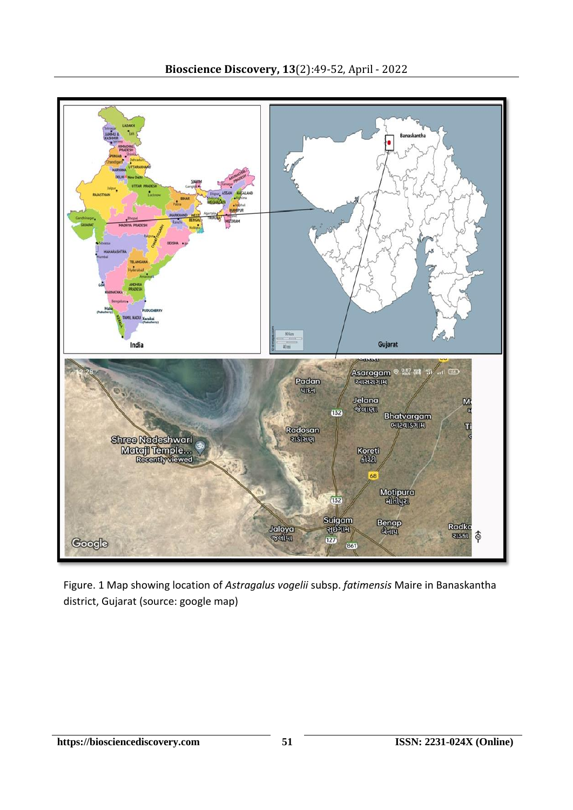

Figure. 1 Map showing location of *Astragalus vogelii* subsp. *fatimensis* Maire in Banaskantha district, Gujarat (source: google map)